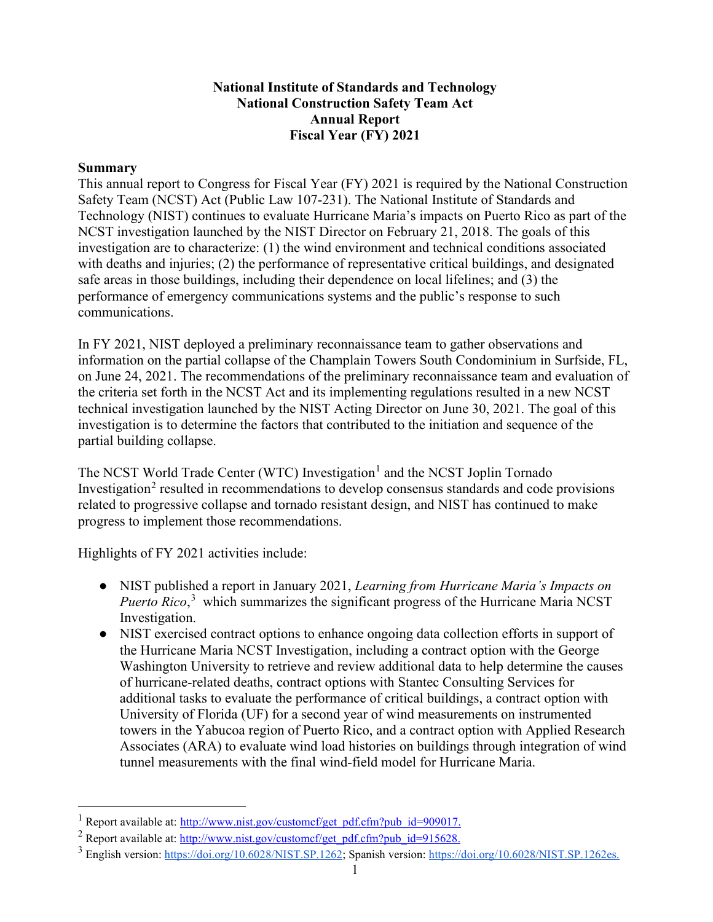## **National Institute of Standards and Technology National Construction Safety Team Act Annual Report Fiscal Year (FY) 2021**

### **Summary**

This annual report to Congress for Fiscal Year (FY) 2021 is required by the National Construction Safety Team (NCST) Act (Public Law 107-231). The National Institute of Standards and Technology (NIST) continues to evaluate Hurricane Maria's impacts on Puerto Rico as part of the NCST investigation launched by the NIST Director on February 21, 2018. The goals of this investigation are to characterize: (1) the wind environment and technical conditions associated with deaths and injuries; (2) the performance of representative critical buildings, and designated safe areas in those buildings, including their dependence on local lifelines; and (3) the performance of emergency communications systems and the public's response to such communications.

In FY 2021, NIST deployed a preliminary reconnaissance team to gather observations and information on the partial collapse of the Champlain Towers South Condominium in Surfside, FL, on June 24, 2021. The recommendations of the preliminary reconnaissance team and evaluation of the criteria set forth in the NCST Act and its implementing regulations resulted in a new NCST technical investigation launched by the NIST Acting Director on June 30, 2021. The goal of this investigation is to determine the factors that contributed to the initiation and sequence of the partial building collapse.

The NCST World Trade Center (WTC) Investigation<sup>[1](#page-0-0)</sup> and the NCST Joplin Tornado Investigation<sup>[2](#page-0-1)</sup> resulted in recommendations to develop consensus standards and code provisions related to progressive collapse and tornado resistant design, and NIST has continued to make progress to implement those recommendations.

Highlights of FY 2021 activities include:

- NIST published a report in January 2021, *Learning from Hurricane Maria's Impacts on*  Puerto Rico,<sup>[3](#page-0-2)</sup> which summarizes the significant progress of the Hurricane Maria NCST Investigation.
- NIST exercised contract options to enhance ongoing data collection efforts in support of the Hurricane Maria NCST Investigation, including a contract option with the George Washington University to retrieve and review additional data to help determine the causes of hurricane-related deaths, contract options with Stantec Consulting Services for additional tasks to evaluate the performance of critical buildings, a contract option with University of Florida (UF) for a second year of wind measurements on instrumented towers in the Yabucoa region of Puerto Rico, and a contract option with Applied Research Associates (ARA) to evaluate wind load histories on buildings through integration of wind tunnel measurements with the final wind-field model for Hurricane Maria.

<span id="page-0-0"></span><sup>&</sup>lt;sup>1</sup> Report available at: [http://www.nist.gov/customcf/get\\_pdf.cfm?pub\\_id=909017.](http://www.nist.gov/customcf/get_pdf.cfm?pub_id=909017)

<span id="page-0-1"></span><sup>&</sup>lt;sup>2</sup> Report available at: [http://www.nist.gov/customcf/get\\_pdf.cfm?pub\\_id=915628.](http://www.nist.gov/customcf/get_pdf.cfm?pub_id=915628)

<span id="page-0-2"></span><sup>&</sup>lt;sup>3</sup> English version: [https://doi.org/10.6028/NIST.SP.1262;](https://doi.org/10.6028/NIST.SP.1262) Spanish version: [https://doi.org/10.6028/NIST.SP.1262es.](https://doi.org/10.6028/NIST.SP.1262es)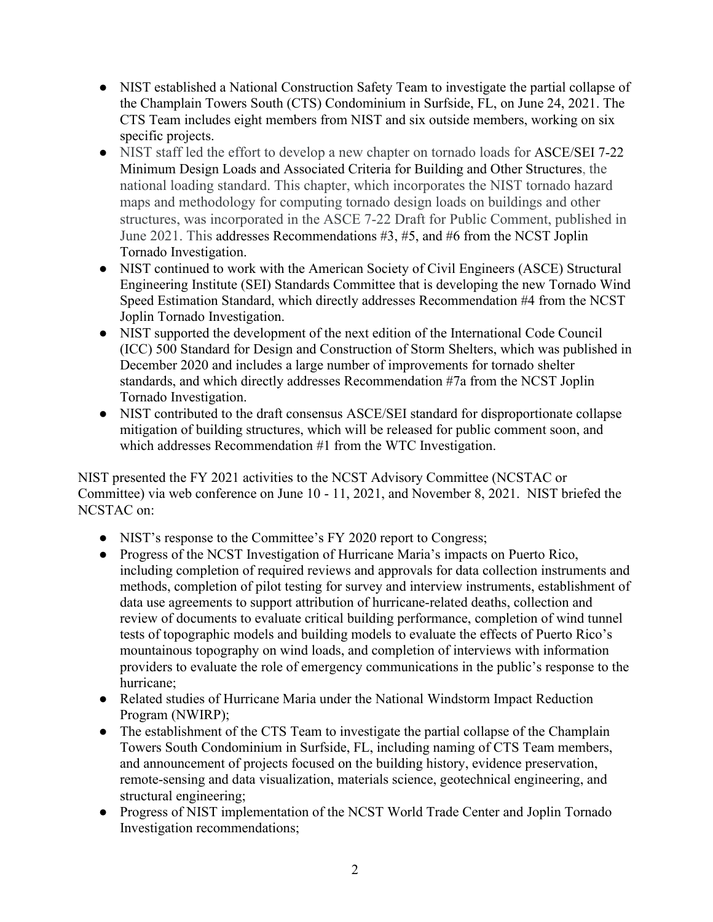- NIST established a National Construction Safety Team to investigate the partial collapse of the Champlain Towers South (CTS) Condominium in Surfside, FL, on June 24, 2021. The CTS Team includes eight members from NIST and six outside members, working on six specific projects.
- NIST staff led the effort to develop a new chapter on tornado loads for ASCE/SEI 7-22 Minimum Design Loads and Associated Criteria for Building and Other Structures, the national loading standard. This chapter, which incorporates the NIST tornado hazard maps and methodology for computing tornado design loads on buildings and other structures, was incorporated in the ASCE 7-22 Draft for Public Comment, published in June 2021. This addresses Recommendations #3, #5, and #6 from the NCST Joplin Tornado Investigation.
- NIST continued to work with the American Society of Civil Engineers (ASCE) Structural Engineering Institute (SEI) Standards Committee that is developing the new Tornado Wind Speed Estimation Standard, which directly addresses Recommendation #4 from the NCST Joplin Tornado Investigation.
- NIST supported the development of the next edition of the International Code Council (ICC) 500 Standard for Design and Construction of Storm Shelters, which was published in December 2020 and includes a large number of improvements for tornado shelter standards, and which directly addresses Recommendation #7a from the NCST Joplin Tornado Investigation.
- NIST contributed to the draft consensus ASCE/SEI standard for disproportionate collapse mitigation of building structures, which will be released for public comment soon, and which addresses Recommendation #1 from the WTC Investigation.

NIST presented the FY 2021 activities to the NCST Advisory Committee (NCSTAC or Committee) via web conference on June 10 - 11, 2021, and November 8, 2021. NIST briefed the NCSTAC on:

- NIST's response to the Committee's FY 2020 report to Congress;
- Progress of the NCST Investigation of Hurricane Maria's impacts on Puerto Rico, including completion of required reviews and approvals for data collection instruments and methods, completion of pilot testing for survey and interview instruments, establishment of data use agreements to support attribution of hurricane-related deaths, collection and review of documents to evaluate critical building performance, completion of wind tunnel tests of topographic models and building models to evaluate the effects of Puerto Rico's mountainous topography on wind loads, and completion of interviews with information providers to evaluate the role of emergency communications in the public's response to the hurricane;
- Related studies of Hurricane Maria under the National Windstorm Impact Reduction Program (NWIRP);
- The establishment of the CTS Team to investigate the partial collapse of the Champlain Towers South Condominium in Surfside, FL, including naming of CTS Team members, and announcement of projects focused on the building history, evidence preservation, remote-sensing and data visualization, materials science, geotechnical engineering, and structural engineering;
- Progress of NIST implementation of the NCST World Trade Center and Joplin Tornado Investigation recommendations;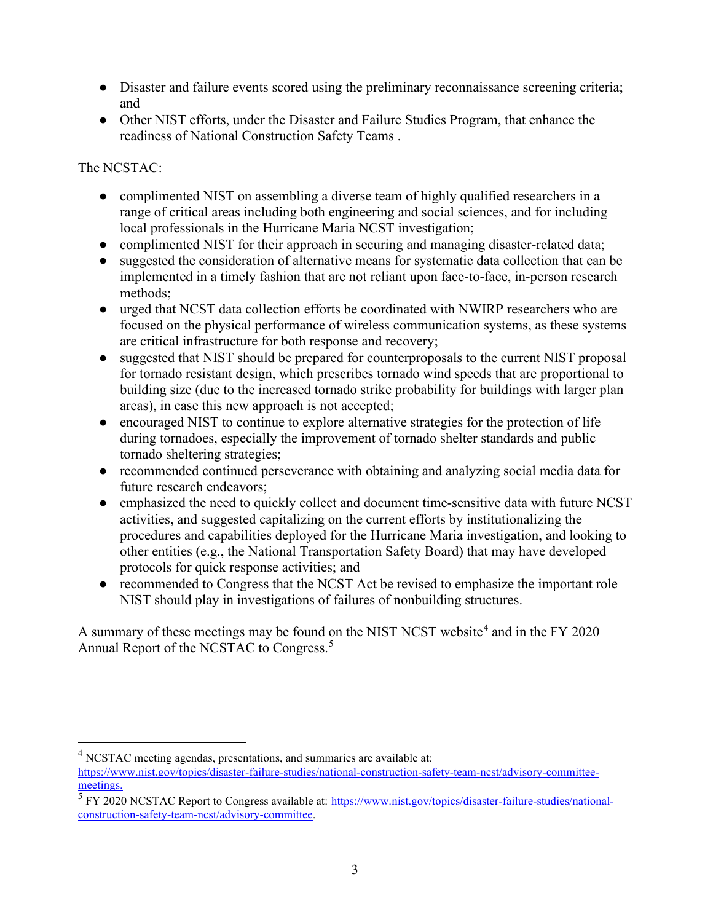- Disaster and failure events scored using the preliminary reconnaissance screening criteria; and
- Other NIST efforts, under the Disaster and Failure Studies Program, that enhance the readiness of National Construction Safety Teams .

The NCSTAC:

- complimented NIST on assembling a diverse team of highly qualified researchers in a range of critical areas including both engineering and social sciences, and for including local professionals in the Hurricane Maria NCST investigation;
- complimented NIST for their approach in securing and managing disaster-related data;
- suggested the consideration of alternative means for systematic data collection that can be implemented in a timely fashion that are not reliant upon face-to-face, in-person research methods;
- urged that NCST data collection efforts be coordinated with NWIRP researchers who are focused on the physical performance of wireless communication systems, as these systems are critical infrastructure for both response and recovery;
- suggested that NIST should be prepared for counterproposals to the current NIST proposal for tornado resistant design, which prescribes tornado wind speeds that are proportional to building size (due to the increased tornado strike probability for buildings with larger plan areas), in case this new approach is not accepted;
- encouraged NIST to continue to explore alternative strategies for the protection of life during tornadoes, especially the improvement of tornado shelter standards and public tornado sheltering strategies;
- recommended continued perseverance with obtaining and analyzing social media data for future research endeavors;
- emphasized the need to quickly collect and document time-sensitive data with future NCST activities, and suggested capitalizing on the current efforts by institutionalizing the procedures and capabilities deployed for the Hurricane Maria investigation, and looking to other entities (e.g., the National Transportation Safety Board) that may have developed protocols for quick response activities; and
- recommended to Congress that the NCST Act be revised to emphasize the important role NIST should play in investigations of failures of nonbuilding structures.

A summary of these meetings may be found on the NIST NCST website<sup>[4](#page-2-0)</sup> and in the FY 2020 Annual Report of the NCSTAC to Congress.<sup>[5](#page-2-1)</sup>

<span id="page-2-0"></span><sup>4</sup> NCSTAC meeting agendas, presentations, and summaries are available at:

[https://www.nist.gov/topics/disaster-failure-studies/national-construction-safety-team-ncst/advisory-committee](https://www.nist.gov/topics/disaster-failure-studies/national-construction-safety-team-ncst/advisory-committee-meetings)[meetings.](https://www.nist.gov/topics/disaster-failure-studies/national-construction-safety-team-ncst/advisory-committee-meetings)

<span id="page-2-1"></span><sup>&</sup>lt;sup>5</sup> FY 2020 NCSTAC Report to Congress available at: [https://www.nist.gov/topics/disaster-failure-studies/national](https://www.nist.gov/topics/disaster-failure-studies/national-construction-safety-team-ncst/advisory-committee)[construction-safety-team-ncst/advisory-committee.](https://www.nist.gov/topics/disaster-failure-studies/national-construction-safety-team-ncst/advisory-committee)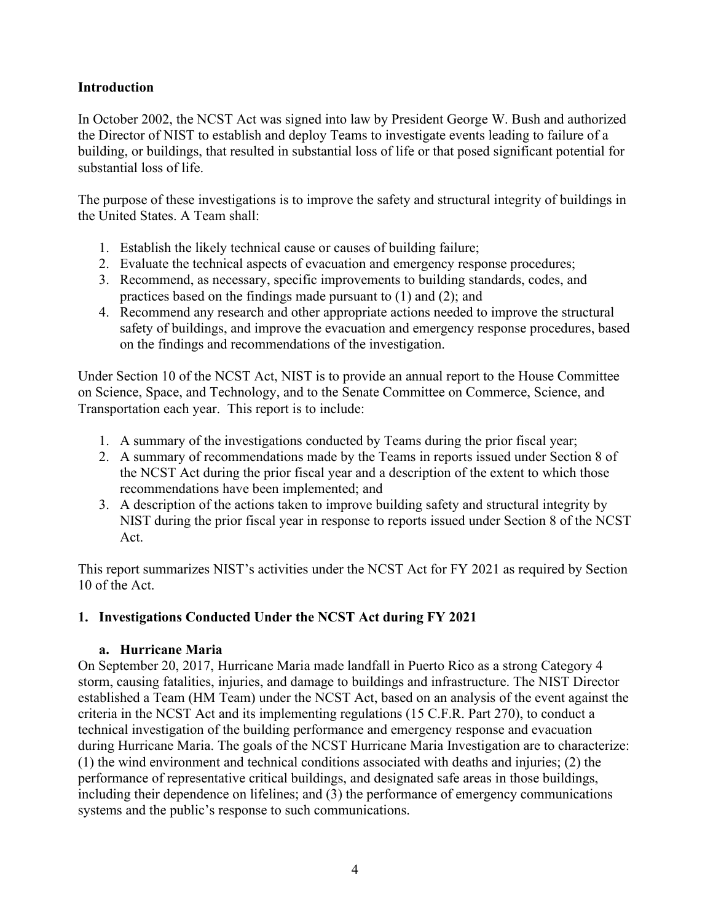# **Introduction**

In October 2002, the NCST Act was signed into law by President George W. Bush and authorized the Director of NIST to establish and deploy Teams to investigate events leading to failure of a building, or buildings, that resulted in substantial loss of life or that posed significant potential for substantial loss of life.

The purpose of these investigations is to improve the safety and structural integrity of buildings in the United States. A Team shall:

- 1. Establish the likely technical cause or causes of building failure;
- 2. Evaluate the technical aspects of evacuation and emergency response procedures;
- 3. Recommend, as necessary, specific improvements to building standards, codes, and practices based on the findings made pursuant to (1) and (2); and
- 4. Recommend any research and other appropriate actions needed to improve the structural safety of buildings, and improve the evacuation and emergency response procedures, based on the findings and recommendations of the investigation.

Under Section 10 of the NCST Act, NIST is to provide an annual report to the House Committee on Science, Space, and Technology, and to the Senate Committee on Commerce, Science, and Transportation each year. This report is to include:

- 1. A summary of the investigations conducted by Teams during the prior fiscal year;
- 2. A summary of recommendations made by the Teams in reports issued under Section 8 of the NCST Act during the prior fiscal year and a description of the extent to which those recommendations have been implemented; and
- 3. A description of the actions taken to improve building safety and structural integrity by NIST during the prior fiscal year in response to reports issued under Section 8 of the NCST Act.

This report summarizes NIST's activities under the NCST Act for FY 2021 as required by Section 10 of the Act.

## **1. Investigations Conducted Under the NCST Act during FY 2021**

## **a. Hurricane Maria**

On September 20, 2017, Hurricane Maria made landfall in Puerto Rico as a strong Category 4 storm, causing fatalities, injuries, and damage to buildings and infrastructure. The NIST Director established a Team (HM Team) under the NCST Act, based on an analysis of the event against the criteria in the NCST Act and its implementing regulations (15 C.F.R. Part 270), to conduct a technical investigation of the building performance and emergency response and evacuation during Hurricane Maria. The goals of the NCST Hurricane Maria Investigation are to characterize: (1) the wind environment and technical conditions associated with deaths and injuries; (2) the performance of representative critical buildings, and designated safe areas in those buildings, including their dependence on lifelines; and (3) the performance of emergency communications systems and the public's response to such communications.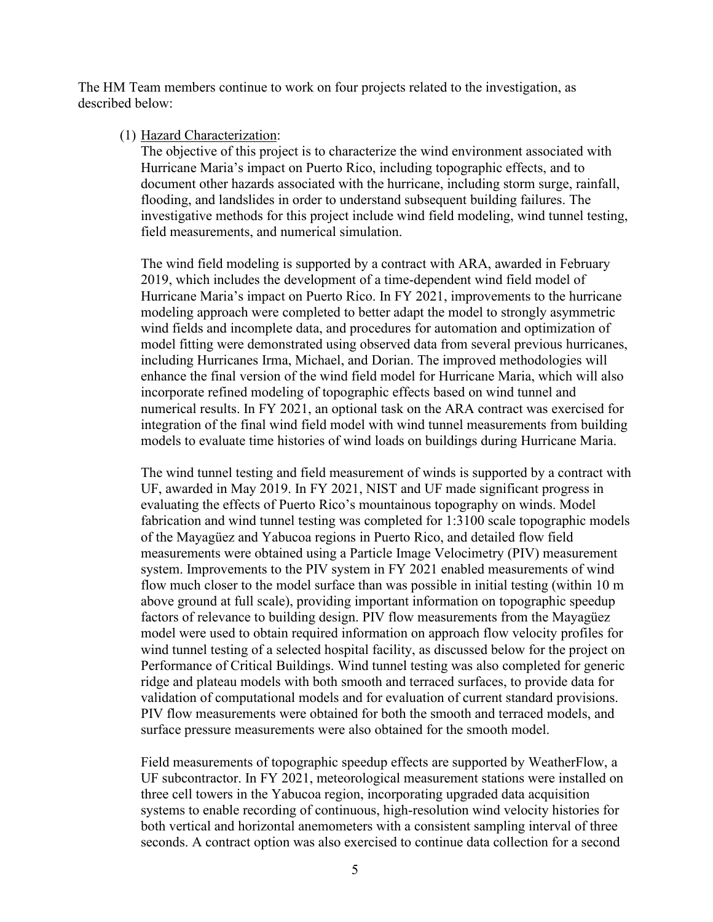The HM Team members continue to work on four projects related to the investigation, as described below:

#### (1) Hazard Characterization:

The objective of this project is to characterize the wind environment associated with Hurricane Maria's impact on Puerto Rico, including topographic effects, and to document other hazards associated with the hurricane, including storm surge, rainfall, flooding, and landslides in order to understand subsequent building failures. The investigative methods for this project include wind field modeling, wind tunnel testing, field measurements, and numerical simulation.

The wind field modeling is supported by a contract with ARA, awarded in February 2019, which includes the development of a time-dependent wind field model of Hurricane Maria's impact on Puerto Rico. In FY 2021, improvements to the hurricane modeling approach were completed to better adapt the model to strongly asymmetric wind fields and incomplete data, and procedures for automation and optimization of model fitting were demonstrated using observed data from several previous hurricanes, including Hurricanes Irma, Michael, and Dorian. The improved methodologies will enhance the final version of the wind field model for Hurricane Maria, which will also incorporate refined modeling of topographic effects based on wind tunnel and numerical results. In FY 2021, an optional task on the ARA contract was exercised for integration of the final wind field model with wind tunnel measurements from building models to evaluate time histories of wind loads on buildings during Hurricane Maria.

The wind tunnel testing and field measurement of winds is supported by a contract with UF, awarded in May 2019. In FY 2021, NIST and UF made significant progress in evaluating the effects of Puerto Rico's mountainous topography on winds. Model fabrication and wind tunnel testing was completed for 1:3100 scale topographic models of the Mayagüez and Yabucoa regions in Puerto Rico, and detailed flow field measurements were obtained using a Particle Image Velocimetry (PIV) measurement system. Improvements to the PIV system in FY 2021 enabled measurements of wind flow much closer to the model surface than was possible in initial testing (within 10 m above ground at full scale), providing important information on topographic speedup factors of relevance to building design. PIV flow measurements from the Mayagüez model were used to obtain required information on approach flow velocity profiles for wind tunnel testing of a selected hospital facility, as discussed below for the project on Performance of Critical Buildings. Wind tunnel testing was also completed for generic ridge and plateau models with both smooth and terraced surfaces, to provide data for validation of computational models and for evaluation of current standard provisions. PIV flow measurements were obtained for both the smooth and terraced models, and surface pressure measurements were also obtained for the smooth model.

Field measurements of topographic speedup effects are supported by WeatherFlow, a UF subcontractor. In FY 2021, meteorological measurement stations were installed on three cell towers in the Yabucoa region, incorporating upgraded data acquisition systems to enable recording of continuous, high-resolution wind velocity histories for both vertical and horizontal anemometers with a consistent sampling interval of three seconds. A contract option was also exercised to continue data collection for a second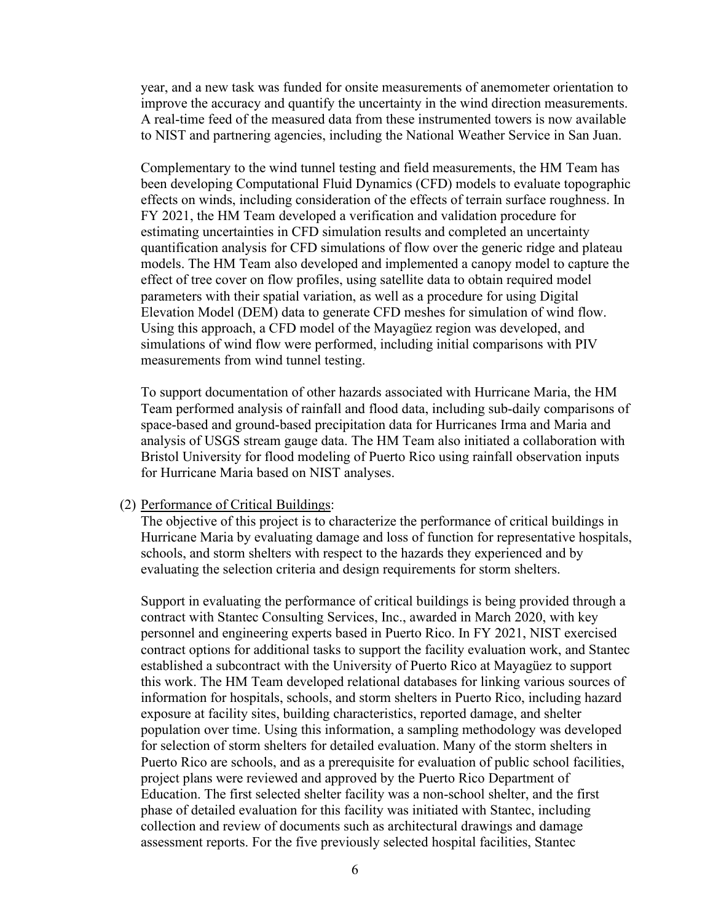year, and a new task was funded for onsite measurements of anemometer orientation to improve the accuracy and quantify the uncertainty in the wind direction measurements. A real-time feed of the measured data from these instrumented towers is now available to NIST and partnering agencies, including the National Weather Service in San Juan.

Complementary to the wind tunnel testing and field measurements, the HM Team has been developing Computational Fluid Dynamics (CFD) models to evaluate topographic effects on winds, including consideration of the effects of terrain surface roughness. In FY 2021, the HM Team developed a verification and validation procedure for estimating uncertainties in CFD simulation results and completed an uncertainty quantification analysis for CFD simulations of flow over the generic ridge and plateau models. The HM Team also developed and implemented a canopy model to capture the effect of tree cover on flow profiles, using satellite data to obtain required model parameters with their spatial variation, as well as a procedure for using Digital Elevation Model (DEM) data to generate CFD meshes for simulation of wind flow. Using this approach, a CFD model of the Mayagüez region was developed, and simulations of wind flow were performed, including initial comparisons with PIV measurements from wind tunnel testing.

To support documentation of other hazards associated with Hurricane Maria, the HM Team performed analysis of rainfall and flood data, including sub-daily comparisons of space-based and ground-based precipitation data for Hurricanes Irma and Maria and analysis of USGS stream gauge data. The HM Team also initiated a collaboration with Bristol University for flood modeling of Puerto Rico using rainfall observation inputs for Hurricane Maria based on NIST analyses.

#### (2) Performance of Critical Buildings:

The objective of this project is to characterize the performance of critical buildings in Hurricane Maria by evaluating damage and loss of function for representative hospitals, schools, and storm shelters with respect to the hazards they experienced and by evaluating the selection criteria and design requirements for storm shelters.

Support in evaluating the performance of critical buildings is being provided through a contract with Stantec Consulting Services, Inc., awarded in March 2020, with key personnel and engineering experts based in Puerto Rico. In FY 2021, NIST exercised contract options for additional tasks to support the facility evaluation work, and Stantec established a subcontract with the University of Puerto Rico at Mayagüez to support this work. The HM Team developed relational databases for linking various sources of information for hospitals, schools, and storm shelters in Puerto Rico, including hazard exposure at facility sites, building characteristics, reported damage, and shelter population over time. Using this information, a sampling methodology was developed for selection of storm shelters for detailed evaluation. Many of the storm shelters in Puerto Rico are schools, and as a prerequisite for evaluation of public school facilities, project plans were reviewed and approved by the Puerto Rico Department of Education. The first selected shelter facility was a non-school shelter, and the first phase of detailed evaluation for this facility was initiated with Stantec, including collection and review of documents such as architectural drawings and damage assessment reports. For the five previously selected hospital facilities, Stantec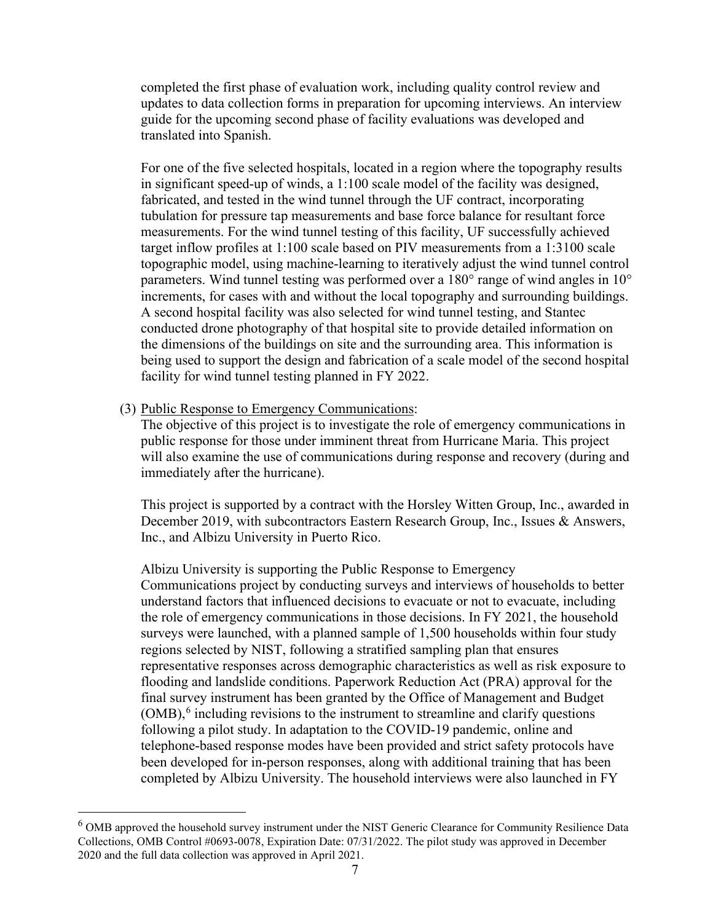completed the first phase of evaluation work, including quality control review and updates to data collection forms in preparation for upcoming interviews. An interview guide for the upcoming second phase of facility evaluations was developed and translated into Spanish.

For one of the five selected hospitals, located in a region where the topography results in significant speed-up of winds, a 1:100 scale model of the facility was designed, fabricated, and tested in the wind tunnel through the UF contract, incorporating tubulation for pressure tap measurements and base force balance for resultant force measurements. For the wind tunnel testing of this facility, UF successfully achieved target inflow profiles at 1:100 scale based on PIV measurements from a 1:3100 scale topographic model, using machine-learning to iteratively adjust the wind tunnel control parameters. Wind tunnel testing was performed over a 180° range of wind angles in 10° increments, for cases with and without the local topography and surrounding buildings. A second hospital facility was also selected for wind tunnel testing, and Stantec conducted drone photography of that hospital site to provide detailed information on the dimensions of the buildings on site and the surrounding area. This information is being used to support the design and fabrication of a scale model of the second hospital facility for wind tunnel testing planned in FY 2022.

### (3) Public Response to Emergency Communications:

The objective of this project is to investigate the role of emergency communications in public response for those under imminent threat from Hurricane Maria. This project will also examine the use of communications during response and recovery (during and immediately after the hurricane).

This project is supported by a contract with the Horsley Witten Group, Inc., awarded in December 2019, with subcontractors Eastern Research Group, Inc., Issues & Answers, Inc., and Albizu University in Puerto Rico.

Albizu University is supporting the Public Response to Emergency Communications project by conducting surveys and interviews of households to better understand factors that influenced decisions to evacuate or not to evacuate, including the role of emergency communications in those decisions. In FY 2021, the household surveys were launched, with a planned sample of 1,500 households within four study regions selected by NIST, following a stratified sampling plan that ensures representative responses across demographic characteristics as well as risk exposure to flooding and landslide conditions. Paperwork Reduction Act (PRA) approval for the final survey instrument has been granted by the Office of Management and Budget  $(OMB)$ ,  $6$  including revisions to the instrument to streamline and clarify questions following a pilot study. In adaptation to the COVID-19 pandemic, online and telephone-based response modes have been provided and strict safety protocols have been developed for in-person responses, along with additional training that has been completed by Albizu University. The household interviews were also launched in FY

<span id="page-6-0"></span><sup>&</sup>lt;sup>6</sup> OMB approved the household survey instrument under the NIST Generic Clearance for Community Resilience Data Collections, OMB Control #0693-0078, Expiration Date: 07/31/2022. The pilot study was approved in December 2020 and the full data collection was approved in April 2021.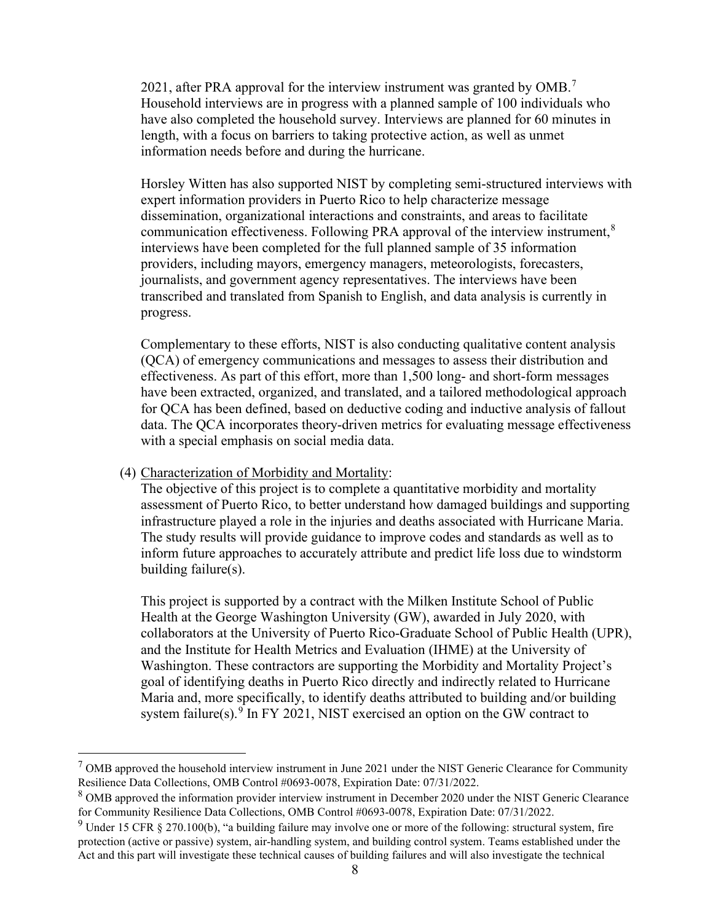2021, after PRA approval for the interview instrument was granted by  $OMB<sup>7</sup>$  $OMB<sup>7</sup>$  $OMB<sup>7</sup>$ Household interviews are in progress with a planned sample of 100 individuals who have also completed the household survey. Interviews are planned for 60 minutes in length, with a focus on barriers to taking protective action, as well as unmet information needs before and during the hurricane.

Horsley Witten has also supported NIST by completing semi-structured interviews with expert information providers in Puerto Rico to help characterize message dissemination, organizational interactions and constraints, and areas to facilitate communication effectiveness. Following PRA approval of the interview instrument,<sup>[8](#page-7-1)</sup> interviews have been completed for the full planned sample of 35 information providers, including mayors, emergency managers, meteorologists, forecasters, journalists, and government agency representatives. The interviews have been transcribed and translated from Spanish to English, and data analysis is currently in progress.

Complementary to these efforts, NIST is also conducting qualitative content analysis (QCA) of emergency communications and messages to assess their distribution and effectiveness. As part of this effort, more than 1,500 long- and short-form messages have been extracted, organized, and translated, and a tailored methodological approach for QCA has been defined, based on deductive coding and inductive analysis of fallout data. The QCA incorporates theory-driven metrics for evaluating message effectiveness with a special emphasis on social media data.

### (4) Characterization of Morbidity and Mortality:

The objective of this project is to complete a quantitative morbidity and mortality assessment of Puerto Rico, to better understand how damaged buildings and supporting infrastructure played a role in the injuries and deaths associated with Hurricane Maria. The study results will provide guidance to improve codes and standards as well as to inform future approaches to accurately attribute and predict life loss due to windstorm building failure(s).

This project is supported by a contract with the Milken Institute School of Public Health at the George Washington University (GW), awarded in July 2020, with collaborators at the University of Puerto Rico-Graduate School of Public Health (UPR), and the Institute for Health Metrics and Evaluation (IHME) at the University of Washington. These contractors are supporting the Morbidity and Mortality Project's goal of identifying deaths in Puerto Rico directly and indirectly related to Hurricane Maria and, more specifically, to identify deaths attributed to building and/or building system failure(s).<sup>[9](#page-7-2)</sup> In FY 2021, NIST exercised an option on the GW contract to

<span id="page-7-0"></span> $<sup>7</sup>$  OMB approved the household interview instrument in June 2021 under the NIST Generic Clearance for Community</sup> Resilience Data Collections, OMB Control #0693-0078, Expiration Date: 07/31/2022.

<span id="page-7-1"></span><sup>&</sup>lt;sup>8</sup> OMB approved the information provider interview instrument in December 2020 under the NIST Generic Clearance for Community Resilience Data Collections, OMB Control #0693-0078, Expiration Date: 07/31/2022.

<span id="page-7-2"></span> $9$  Under 15 CFR § 270.100(b), "a building failure may involve one or more of the following: structural system, fire protection (active or passive) system, air-handling system, and building control system. Teams established under the Act and this part will investigate these technical causes of building failures and will also investigate the technical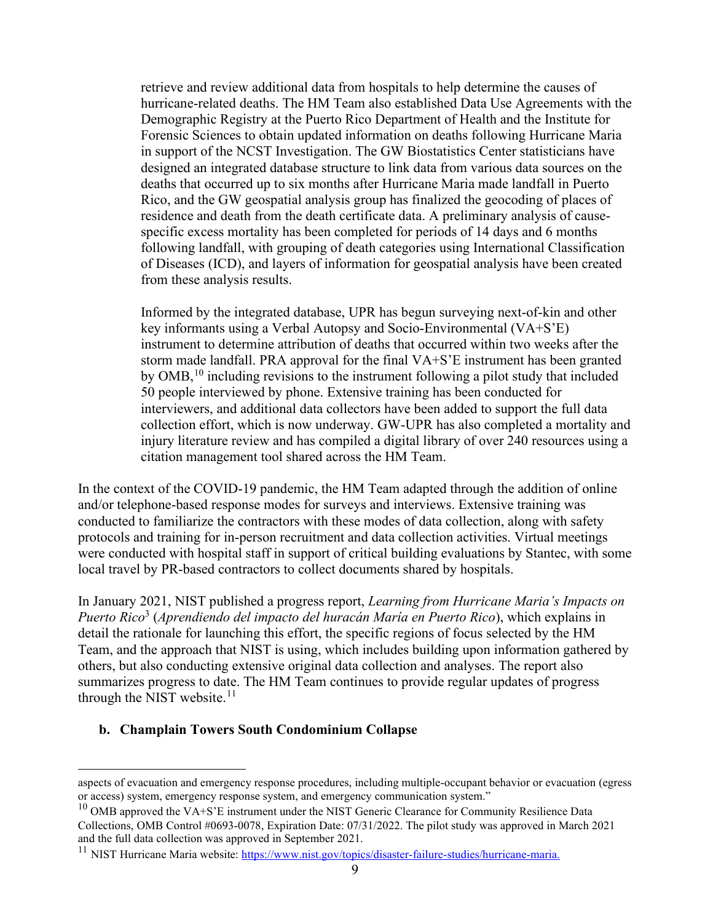retrieve and review additional data from hospitals to help determine the causes of hurricane-related deaths. The HM Team also established Data Use Agreements with the Demographic Registry at the Puerto Rico Department of Health and the Institute for Forensic Sciences to obtain updated information on deaths following Hurricane Maria in support of the NCST Investigation. The GW Biostatistics Center statisticians have designed an integrated database structure to link data from various data sources on the deaths that occurred up to six months after Hurricane Maria made landfall in Puerto Rico, and the GW geospatial analysis group has finalized the geocoding of places of residence and death from the death certificate data. A preliminary analysis of causespecific excess mortality has been completed for periods of 14 days and 6 months following landfall, with grouping of death categories using International Classification of Diseases (ICD), and layers of information for geospatial analysis have been created from these analysis results.

Informed by the integrated database, UPR has begun surveying next-of-kin and other key informants using a Verbal Autopsy and Socio-Environmental (VA+S'E) instrument to determine attribution of deaths that occurred within two weeks after the storm made landfall. PRA approval for the final VA+S'E instrument has been granted by  $OMB<sub>10</sub>$  $OMB<sub>10</sub>$  $OMB<sub>10</sub>$ , including revisions to the instrument following a pilot study that included 50 people interviewed by phone. Extensive training has been conducted for interviewers, and additional data collectors have been added to support the full data collection effort, which is now underway. GW-UPR has also completed a mortality and injury literature review and has compiled a digital library of over 240 resources using a citation management tool shared across the HM Team.

In the context of the COVID-19 pandemic, the HM Team adapted through the addition of online and/or telephone-based response modes for surveys and interviews. Extensive training was conducted to familiarize the contractors with these modes of data collection, along with safety protocols and training for in-person recruitment and data collection activities. Virtual meetings were conducted with hospital staff in support of critical building evaluations by Stantec, with some local travel by PR-based contractors to collect documents shared by hospitals.

In January 2021, NIST published a progress report, *Learning from Hurricane Maria's Impacts on Puerto Rico*<sup>3</sup> (*Aprendiendo del impacto del huracán María en Puerto Rico*), which explains in detail the rationale for launching this effort, the specific regions of focus selected by the HM Team, and the approach that NIST is using, which includes building upon information gathered by others, but also conducting extensive original data collection and analyses. The report also summarizes progress to date. The HM Team continues to provide regular updates of progress through the NIST website. $11$ 

# **b. Champlain Towers South Condominium Collapse**

aspects of evacuation and emergency response procedures, including multiple-occupant behavior or evacuation (egress or access) system, emergency response system, and emergency communication system."

<span id="page-8-0"></span> $10$  OMB approved the VA+S'E instrument under the NIST Generic Clearance for Community Resilience Data Collections, OMB Control #0693-0078, Expiration Date: 07/31/2022. The pilot study was approved in March 2021 and the full data collection was approved in September 2021.

<span id="page-8-1"></span><sup>&</sup>lt;sup>11</sup> NIST Hurricane Maria website: [https://www.nist.gov/topics/disaster-failure-studies/hurricane-maria.](https://www.nist.gov/topics/disaster-failure-studies/hurricane-maria)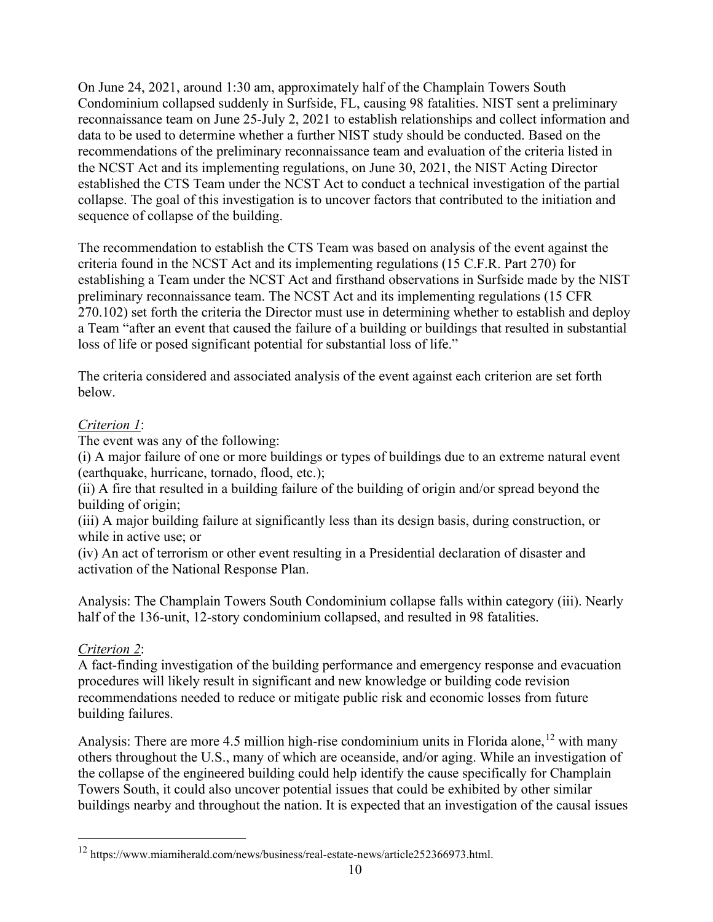On June 24, 2021, around 1:30 am, approximately half of the Champlain Towers South Condominium collapsed suddenly in Surfside, FL, causing 98 fatalities. NIST sent a preliminary reconnaissance team on June 25-July 2, 2021 to establish relationships and collect information and data to be used to determine whether a further NIST study should be conducted. Based on the recommendations of the preliminary reconnaissance team and evaluation of the criteria listed in the NCST Act and its implementing regulations, on June 30, 2021, the NIST Acting Director established the CTS Team under the NCST Act to conduct a technical investigation of the partial collapse. The goal of this investigation is to uncover factors that contributed to the initiation and sequence of collapse of the building.

The recommendation to establish the CTS Team was based on analysis of the event against the criteria found in the NCST Act and its implementing regulations (15 C.F.R. Part 270) for establishing a Team under the NCST Act and firsthand observations in Surfside made by the NIST preliminary reconnaissance team. The NCST Act and its implementing regulations (15 CFR 270.102) set forth the criteria the Director must use in determining whether to establish and deploy a Team "after an event that caused the failure of a building or buildings that resulted in substantial loss of life or posed significant potential for substantial loss of life."

The criteria considered and associated analysis of the event against each criterion are set forth below.

# *Criterion 1*:

The event was any of the following:

(i) A major failure of one or more buildings or types of buildings due to an extreme natural event (earthquake, hurricane, tornado, flood, etc.);

(ii) A fire that resulted in a building failure of the building of origin and/or spread beyond the building of origin;

(iii) A major building failure at significantly less than its design basis, during construction, or while in active use; or

(iv) An act of terrorism or other event resulting in a Presidential declaration of disaster and activation of the National Response Plan.

Analysis: The Champlain Towers South Condominium collapse falls within category (iii). Nearly half of the 136-unit, 12-story condominium collapsed, and resulted in 98 fatalities.

# *Criterion 2*:

A fact-finding investigation of the building performance and emergency response and evacuation procedures will likely result in significant and new knowledge or building code revision recommendations needed to reduce or mitigate public risk and economic losses from future building failures.

Analysis: There are more 4.5 million high-rise condominium units in Florida alone,<sup>[12](#page-9-0)</sup> with many others throughout the U.S., many of which are oceanside, and/or aging. While an investigation of the collapse of the engineered building could help identify the cause specifically for Champlain Towers South, it could also uncover potential issues that could be exhibited by other similar buildings nearby and throughout the nation. It is expected that an investigation of the causal issues

<span id="page-9-0"></span><sup>12</sup> https://www.miamiherald.com/news/business/real-estate-news/article252366973.html.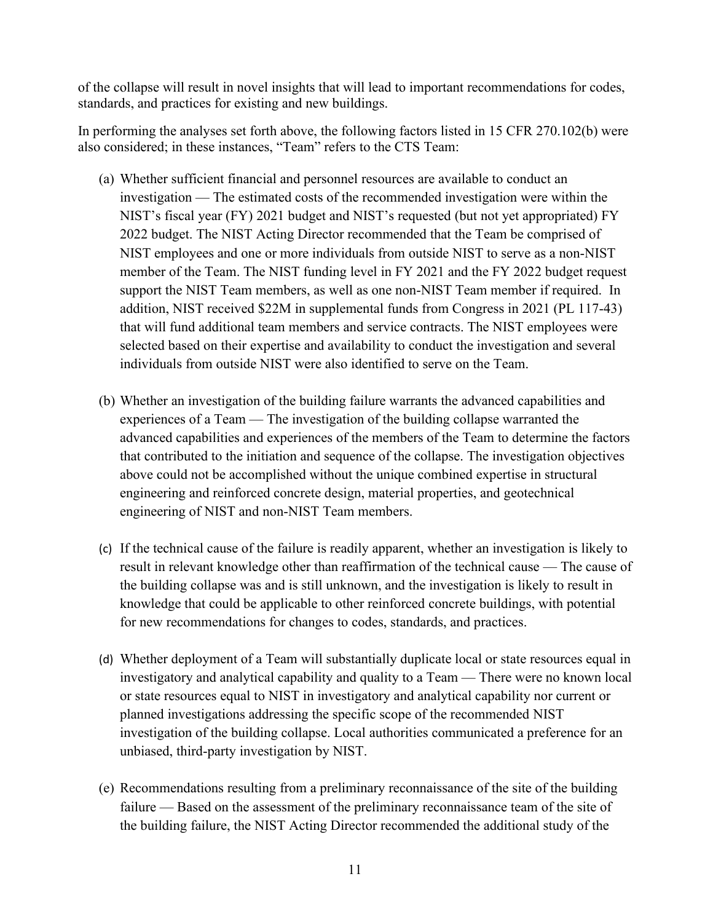of the collapse will result in novel insights that will lead to important recommendations for codes, standards, and practices for existing and new buildings.

In performing the analyses set forth above, the following factors listed in 15 CFR 270.102(b) were also considered; in these instances, "Team" refers to the CTS Team:

- (a) Whether sufficient financial and personnel resources are available to conduct an investigation — The estimated costs of the recommended investigation were within the NIST's fiscal year (FY) 2021 budget and NIST's requested (but not yet appropriated) FY 2022 budget. The NIST Acting Director recommended that the Team be comprised of NIST employees and one or more individuals from outside NIST to serve as a non-NIST member of the Team. The NIST funding level in FY 2021 and the FY 2022 budget request support the NIST Team members, as well as one non-NIST Team member if required. In addition, NIST received \$22M in supplemental funds from Congress in 2021 (PL 117-43) that will fund additional team members and service contracts. The NIST employees were selected based on their expertise and availability to conduct the investigation and several individuals from outside NIST were also identified to serve on the Team.
- (b) Whether an investigation of the building failure warrants the advanced capabilities and experiences of a Team — The investigation of the building collapse warranted the advanced capabilities and experiences of the members of the Team to determine the factors that contributed to the initiation and sequence of the collapse. The investigation objectives above could not be accomplished without the unique combined expertise in structural engineering and reinforced concrete design, material properties, and geotechnical engineering of NIST and non-NIST Team members.
- (c) If the technical cause of the failure is readily apparent, whether an investigation is likely to result in relevant knowledge other than reaffirmation of the technical cause — The cause of the building collapse was and is still unknown, and the investigation is likely to result in knowledge that could be applicable to other reinforced concrete buildings, with potential for new recommendations for changes to codes, standards, and practices.
- (d) Whether deployment of a Team will substantially duplicate local or state resources equal in investigatory and analytical capability and quality to a Team — There were no known local or state resources equal to NIST in investigatory and analytical capability nor current or planned investigations addressing the specific scope of the recommended NIST investigation of the building collapse. Local authorities communicated a preference for an unbiased, third-party investigation by NIST.
- (e) Recommendations resulting from a preliminary reconnaissance of the site of the building failure — Based on the assessment of the preliminary reconnaissance team of the site of the building failure, the NIST Acting Director recommended the additional study of the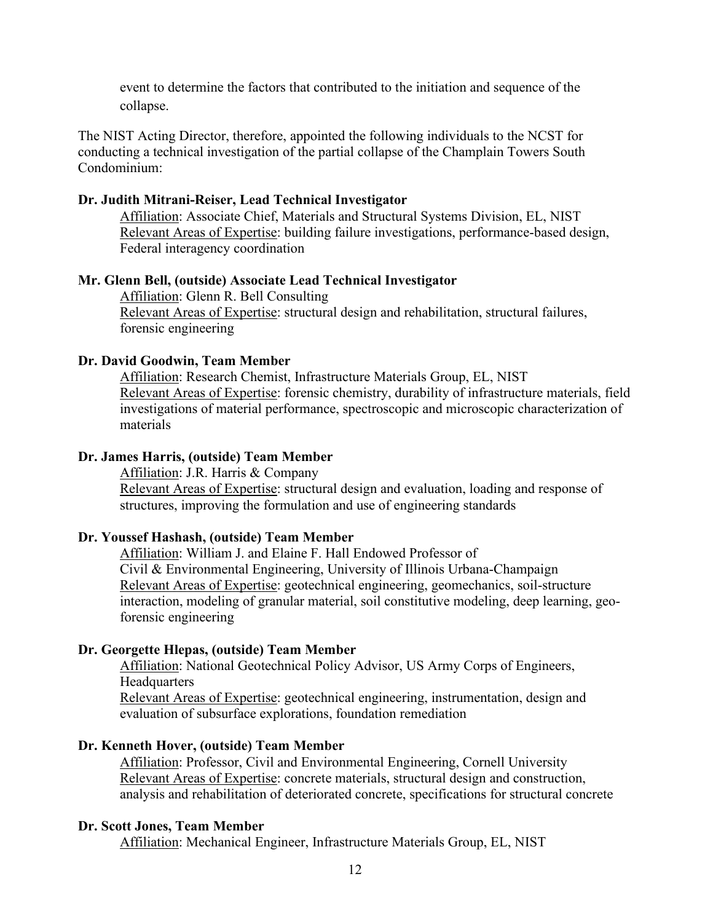event to determine the factors that contributed to the initiation and sequence of the collapse.

The NIST Acting Director, therefore, appointed the following individuals to the NCST for conducting a technical investigation of the partial collapse of the Champlain Towers South Condominium:

### **Dr. Judith Mitrani-Reiser, Lead Technical Investigator**

Affiliation: Associate Chief, Materials and Structural Systems Division, EL, NIST Relevant Areas of Expertise: building failure investigations, performance-based design, Federal interagency coordination

#### **Mr. Glenn Bell, (outside) Associate Lead Technical Investigator**

Affiliation: Glenn R. Bell Consulting Relevant Areas of Expertise: structural design and rehabilitation, structural failures, forensic engineering

### **Dr. David Goodwin, Team Member**

Affiliation: Research Chemist, Infrastructure Materials Group, EL, NIST Relevant Areas of Expertise: forensic chemistry, durability of infrastructure materials, field investigations of material performance, spectroscopic and microscopic characterization of materials

### **Dr. James Harris, (outside) Team Member**

Affiliation: J.R. Harris & Company Relevant Areas of Expertise: structural design and evaluation, loading and response of structures, improving the formulation and use of engineering standards

### **Dr. Youssef Hashash, (outside) Team Member**

Affiliation: William J. and Elaine F. Hall Endowed Professor of Civil & Environmental Engineering, University of Illinois Urbana-Champaign Relevant Areas of Expertise: geotechnical engineering, geomechanics, soil-structure interaction, modeling of granular material, soil constitutive modeling, deep learning, geoforensic engineering

#### **Dr. Georgette Hlepas, (outside) Team Member**

Affiliation: National Geotechnical Policy Advisor, US Army Corps of Engineers, **Headquarters** 

Relevant Areas of Expertise: geotechnical engineering, instrumentation, design and evaluation of subsurface explorations, foundation remediation

### **Dr. Kenneth Hover, (outside) Team Member**

Affiliation: Professor, Civil and Environmental Engineering, Cornell University Relevant Areas of Expertise: concrete materials, structural design and construction, analysis and rehabilitation of deteriorated concrete, specifications for structural concrete

#### **Dr. Scott Jones, Team Member**

Affiliation: Mechanical Engineer, Infrastructure Materials Group, EL, NIST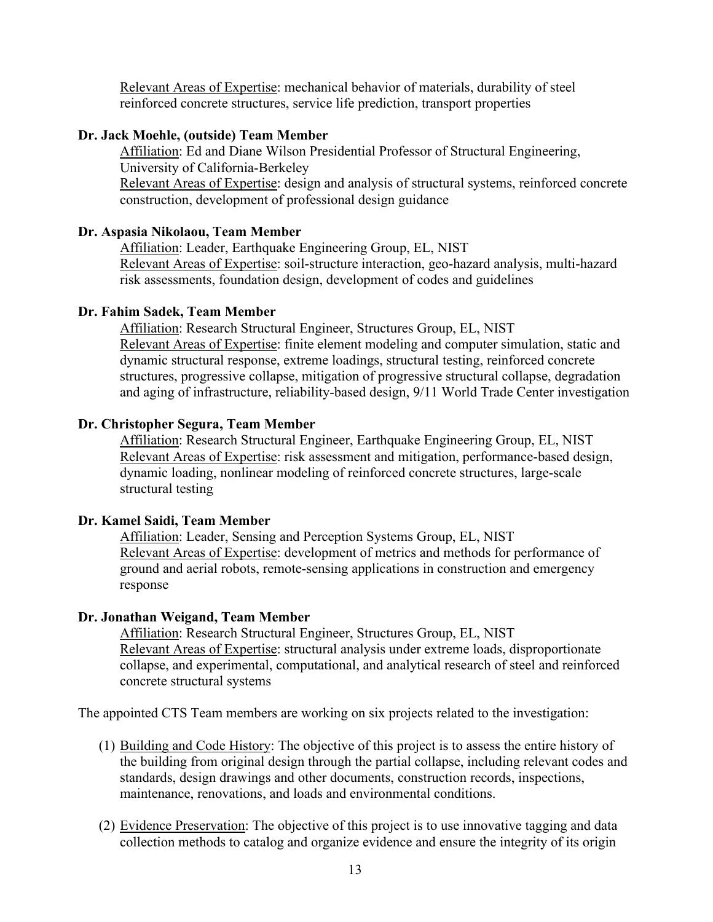Relevant Areas of Expertise: mechanical behavior of materials, durability of steel reinforced concrete structures, service life prediction, transport properties

## **Dr. Jack Moehle, (outside) Team Member**

Affiliation: Ed and Diane Wilson Presidential Professor of Structural Engineering, University of California-Berkeley Relevant Areas of Expertise: design and analysis of structural systems, reinforced concrete construction, development of professional design guidance

## **Dr. Aspasia Nikolaou, Team Member**

Affiliation: Leader, Earthquake Engineering Group, EL, NIST Relevant Areas of Expertise: soil-structure interaction, geo-hazard analysis, multi-hazard risk assessments, foundation design, development of codes and guidelines

## **Dr. Fahim Sadek, Team Member**

Affiliation: Research Structural Engineer, Structures Group, EL, NIST Relevant Areas of Expertise: finite element modeling and computer simulation, static and dynamic structural response, extreme loadings, structural testing, reinforced concrete structures, progressive collapse, mitigation of progressive structural collapse, degradation and aging of infrastructure, reliability-based design, 9/11 World Trade Center investigation

## **Dr. Christopher Segura, Team Member**

Affiliation: Research Structural Engineer, Earthquake Engineering Group, EL, NIST Relevant Areas of Expertise: risk assessment and mitigation, performance-based design, dynamic loading, nonlinear modeling of reinforced concrete structures, large-scale structural testing

### **Dr. Kamel Saidi, Team Member**

Affiliation: Leader, Sensing and Perception Systems Group, EL, NIST Relevant Areas of Expertise: development of metrics and methods for performance of ground and aerial robots, remote-sensing applications in construction and emergency response

## **Dr. Jonathan Weigand, Team Member**

Affiliation: Research Structural Engineer, Structures Group, EL, NIST Relevant Areas of Expertise: structural analysis under extreme loads, disproportionate collapse, and experimental, computational, and analytical research of steel and reinforced concrete structural systems

The appointed CTS Team members are working on six projects related to the investigation:

- (1) Building and Code History: The objective of this project is to assess the entire history of the building from original design through the partial collapse, including relevant codes and standards, design drawings and other documents, construction records, inspections, maintenance, renovations, and loads and environmental conditions.
- (2) Evidence Preservation: The objective of this project is to use innovative tagging and data collection methods to catalog and organize evidence and ensure the integrity of its origin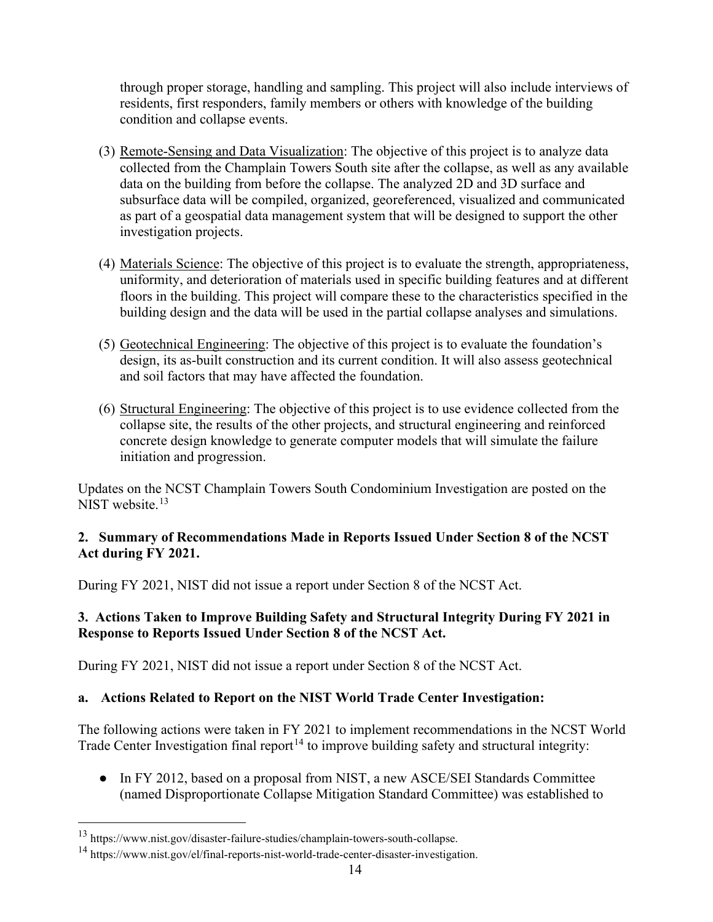through proper storage, handling and sampling. This project will also include interviews of residents, first responders, family members or others with knowledge of the building condition and collapse events.

- (3) Remote-Sensing and Data Visualization: The objective of this project is to analyze data collected from the Champlain Towers South site after the collapse, as well as any available data on the building from before the collapse. The analyzed 2D and 3D surface and subsurface data will be compiled, organized, georeferenced, visualized and communicated as part of a geospatial data management system that will be designed to support the other investigation projects.
- (4) Materials Science: The objective of this project is to evaluate the strength, appropriateness, uniformity, and deterioration of materials used in specific building features and at different floors in the building. This project will compare these to the characteristics specified in the building design and the data will be used in the partial collapse analyses and simulations.
- (5) Geotechnical Engineering: The objective of this project is to evaluate the foundation's design, its as-built construction and its current condition. It will also assess geotechnical and soil factors that may have affected the foundation.
- (6) Structural Engineering: The objective of this project is to use evidence collected from the collapse site, the results of the other projects, and structural engineering and reinforced concrete design knowledge to generate computer models that will simulate the failure initiation and progression.

Updates on the NCST Champlain Towers South Condominium Investigation are posted on the NIST website.<sup>[13](#page-13-0)</sup>

# **2. Summary of Recommendations Made in Reports Issued Under Section 8 of the NCST Act during FY 2021.**

During FY 2021, NIST did not issue a report under Section 8 of the NCST Act.

# **3. Actions Taken to Improve Building Safety and Structural Integrity During FY 2021 in Response to Reports Issued Under Section 8 of the NCST Act.**

During FY 2021, NIST did not issue a report under Section 8 of the NCST Act.

# **a. Actions Related to Report on the NIST World Trade Center Investigation:**

The following actions were taken in FY 2021 to implement recommendations in the NCST World Trade Center Investigation final report<sup>[14](#page-13-1)</sup> to improve building safety and structural integrity:

● In FY 2012, based on a proposal from NIST, a new ASCE/SEI Standards Committee (named Disproportionate Collapse Mitigation Standard Committee) was established to

<span id="page-13-0"></span><sup>13</sup> https://www.nist.gov/disaster-failure-studies/champlain-towers-south-collapse.

<span id="page-13-1"></span><sup>&</sup>lt;sup>14</sup> https://www.nist.gov/el/final-reports-nist-world-trade-center-disaster-investigation.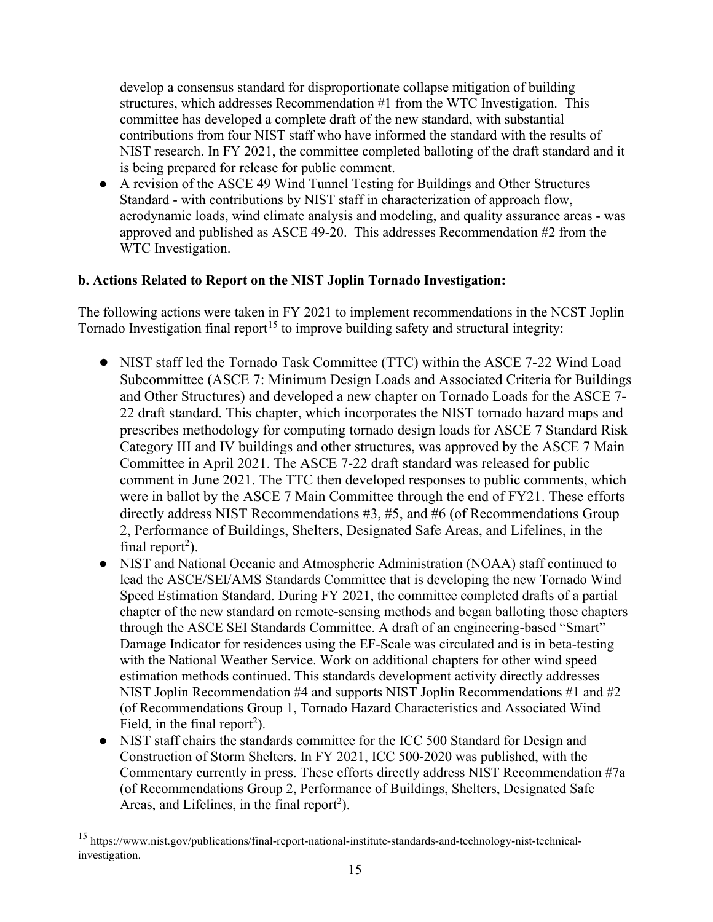develop a consensus standard for disproportionate collapse mitigation of building structures, which addresses Recommendation #1 from the WTC Investigation. This committee has developed a complete draft of the new standard, with substantial contributions from four NIST staff who have informed the standard with the results of NIST research. In FY 2021, the committee completed balloting of the draft standard and it is being prepared for release for public comment.

● A revision of the ASCE 49 Wind Tunnel Testing for Buildings and Other Structures Standard - with contributions by NIST staff in characterization of approach flow, aerodynamic loads, wind climate analysis and modeling, and quality assurance areas - was approved and published as ASCE 49-20. This addresses Recommendation #2 from the WTC Investigation.

## **b. Actions Related to Report on the NIST Joplin Tornado Investigation:**

The following actions were taken in FY 2021 to implement recommendations in the NCST Joplin Tornado Investigation final report<sup>[15](#page-14-0)</sup> to improve building safety and structural integrity:

- NIST staff led the Tornado Task Committee (TTC) within the ASCE 7-22 Wind Load Subcommittee (ASCE 7: Minimum Design Loads and Associated Criteria for Buildings and Other Structures) and developed a new chapter on Tornado Loads for the ASCE 7- 22 draft standard. This chapter, which incorporates the NIST tornado hazard maps and prescribes methodology for computing tornado design loads for ASCE 7 Standard Risk Category III and IV buildings and other structures, was approved by the ASCE 7 Main Committee in April 2021. The ASCE 7-22 draft standard was released for public comment in June 2021. The TTC then developed responses to public comments, which were in ballot by the ASCE 7 Main Committee through the end of FY21. These efforts directly address NIST Recommendations #3, #5, and #6 (of Recommendations Group 2, Performance of Buildings, Shelters, Designated Safe Areas, and Lifelines, in the final report<sup>2</sup>).
- NIST and National Oceanic and Atmospheric Administration (NOAA) staff continued to lead the ASCE/SEI/AMS Standards Committee that is developing the new Tornado Wind Speed Estimation Standard. During FY 2021, the committee completed drafts of a partial chapter of the new standard on remote-sensing methods and began balloting those chapters through the ASCE SEI Standards Committee. A draft of an engineering-based "Smart" Damage Indicator for residences using the EF-Scale was circulated and is in beta-testing with the National Weather Service. Work on additional chapters for other wind speed estimation methods continued. This standards development activity directly addresses NIST Joplin Recommendation #4 and supports NIST Joplin Recommendations #1 and #2 (of Recommendations Group 1, Tornado Hazard Characteristics and Associated Wind Field, in the final report<sup>2</sup>).
- NIST staff chairs the standards committee for the ICC 500 Standard for Design and Construction of Storm Shelters. In FY 2021, ICC 500-2020 was published, with the Commentary currently in press. These efforts directly address NIST Recommendation #7a (of Recommendations Group 2, Performance of Buildings, Shelters, Designated Safe Areas, and Lifelines, in the final report<sup>2</sup>).

<span id="page-14-0"></span><sup>15</sup> https://www.nist.gov/publications/final-report-national-institute-standards-and-technology-nist-technicalinvestigation.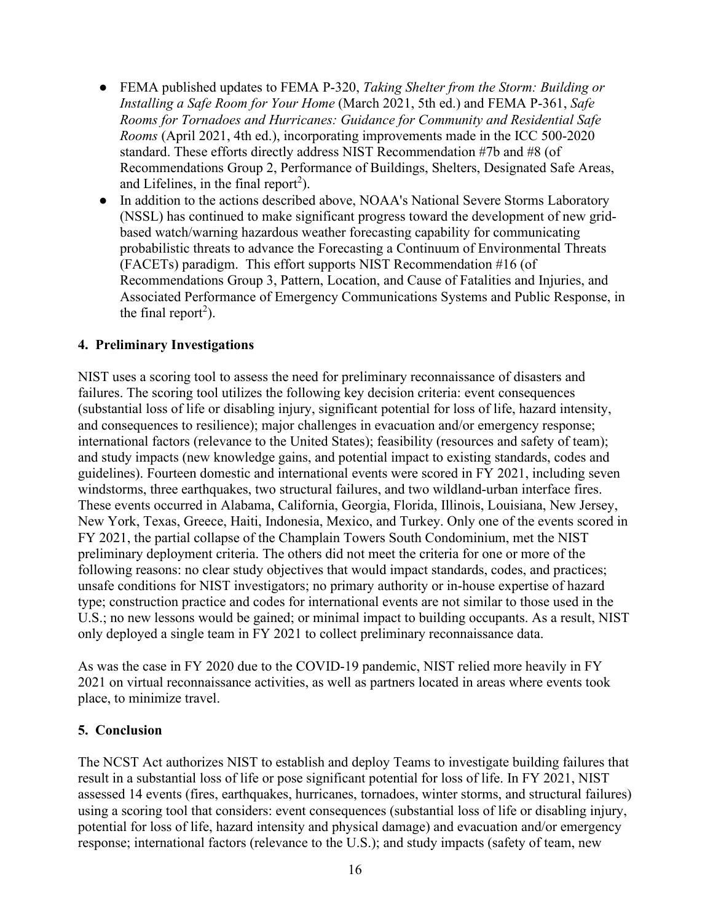- FEMA published updates to FEMA P-320, *Taking Shelter from the Storm: Building or Installing a Safe Room for Your Home* (March 2021, 5th ed.) and FEMA P-361, *Safe Rooms for Tornadoes and Hurricanes: Guidance for Community and Residential Safe Rooms* (April 2021, 4th ed.), incorporating improvements made in the ICC 500-2020 standard. These efforts directly address NIST Recommendation #7b and #8 (of Recommendations Group 2, Performance of Buildings, Shelters, Designated Safe Areas, and Lifelines, in the final report<sup>2</sup>).
- In addition to the actions described above, NOAA's National Severe Storms Laboratory (NSSL) has continued to make significant progress toward the development of new gridbased watch/warning hazardous weather forecasting capability for communicating probabilistic threats to advance the Forecasting a Continuum of Environmental Threats (FACETs) paradigm. This effort supports NIST Recommendation #16 (of Recommendations Group 3, Pattern, Location, and Cause of Fatalities and Injuries, and Associated Performance of Emergency Communications Systems and Public Response, in the final report<sup>2</sup>).

## **4. Preliminary Investigations**

NIST uses a scoring tool to assess the need for preliminary reconnaissance of disasters and failures. The scoring tool utilizes the following key decision criteria: event consequences (substantial loss of life or disabling injury, significant potential for loss of life, hazard intensity, and consequences to resilience); major challenges in evacuation and/or emergency response; international factors (relevance to the United States); feasibility (resources and safety of team); and study impacts (new knowledge gains, and potential impact to existing standards, codes and guidelines). Fourteen domestic and international events were scored in FY 2021, including seven windstorms, three earthquakes, two structural failures, and two wildland-urban interface fires. These events occurred in Alabama, California, Georgia, Florida, Illinois, Louisiana, New Jersey, New York, Texas, Greece, Haiti, Indonesia, Mexico, and Turkey. Only one of the events scored in FY 2021, the partial collapse of the Champlain Towers South Condominium, met the NIST preliminary deployment criteria. The others did not meet the criteria for one or more of the following reasons: no clear study objectives that would impact standards, codes, and practices; unsafe conditions for NIST investigators; no primary authority or in-house expertise of hazard type; construction practice and codes for international events are not similar to those used in the U.S.; no new lessons would be gained; or minimal impact to building occupants. As a result, NIST only deployed a single team in FY 2021 to collect preliminary reconnaissance data.

As was the case in FY 2020 due to the COVID-19 pandemic, NIST relied more heavily in FY 2021 on virtual reconnaissance activities, as well as partners located in areas where events took place, to minimize travel.

### **5. Conclusion**

The NCST Act authorizes NIST to establish and deploy Teams to investigate building failures that result in a substantial loss of life or pose significant potential for loss of life. In FY 2021, NIST assessed 14 events (fires, earthquakes, hurricanes, tornadoes, winter storms, and structural failures) using a scoring tool that considers: event consequences (substantial loss of life or disabling injury, potential for loss of life, hazard intensity and physical damage) and evacuation and/or emergency response; international factors (relevance to the U.S.); and study impacts (safety of team, new